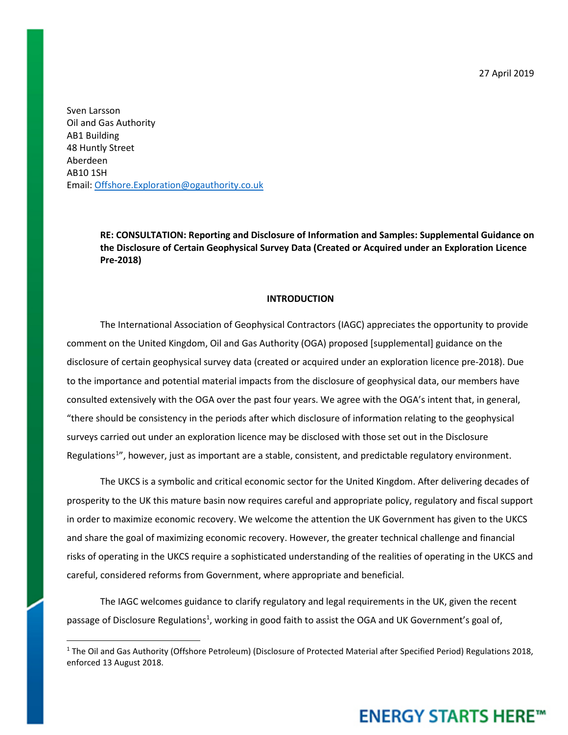27 April 2019

Sven Larsson Oil and Gas Authority AB1 Building 48 Huntly Street Aberdeen AB10 1SH Email: [Offshore.Exploration@ogauthority.co.uk](mailto:Offshore.Exploration@ogauthority.co.uk)

> **RE: CONSULTATION: Reporting and Disclosure of Information and Samples: Supplemental Guidance on the Disclosure of Certain Geophysical Survey Data (Created or Acquired under an Exploration Licence Pre-2018)**

#### **INTRODUCTION**

The International Association of Geophysical Contractors (IAGC) appreciates the opportunity to provide comment on the United Kingdom, Oil and Gas Authority (OGA) proposed [supplemental] guidance on the disclosure of certain geophysical survey data (created or acquired under an exploration licence pre-2018). Due to the importance and potential material impacts from the disclosure of geophysical data, our members have consulted extensively with the OGA over the past four years. We agree with the OGA's intent that, in general, "there should be consistency in the periods after which disclosure of information relating to the geophysical surveys carried out under an exploration licence may be disclosed with those set out in the Disclosure Regulations<sup>[1](#page-0-0)</sup>", however, just as important are a stable, consistent, and predictable regulatory environment.

The UKCS is a symbolic and critical economic sector for the United Kingdom. After delivering decades of prosperity to the UK this mature basin now requires careful and appropriate policy, regulatory and fiscal support in order to maximize economic recovery. We welcome the attention the UK Government has given to the UKCS and share the goal of maximizing economic recovery. However, the greater technical challenge and financial risks of operating in the UKCS require a sophisticated understanding of the realities of operating in the UKCS and careful, considered reforms from Government, where appropriate and beneficial.

The IAGC welcomes guidance to clarify regulatory and legal requirements in the UK, given the recent passage of Disclosure Regulations<sup>1</sup>, working in good faith to assist the OGA and UK Government's goal of,

<span id="page-0-0"></span><sup>&</sup>lt;sup>1</sup> The Oil and Gas Authority (Offshore Petroleum) (Disclosure of Protected Material after Specified Period) Regulations 2018, enforced 13 August 2018.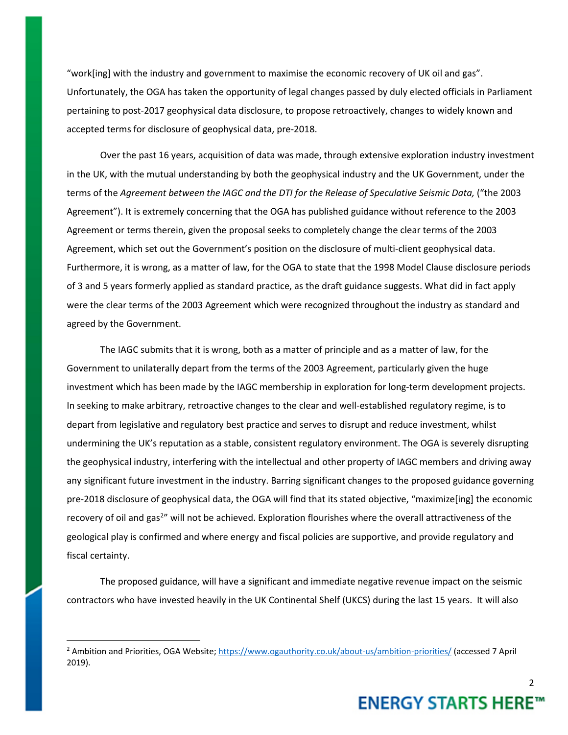"work[ing] with the industry and government to maximise the economic recovery of UK oil and gas". Unfortunately, the OGA has taken the opportunity of legal changes passed by duly elected officials in Parliament pertaining to post-2017 geophysical data disclosure, to propose retroactively, changes to widely known and accepted terms for disclosure of geophysical data, pre-2018.

Over the past 16 years, acquisition of data was made, through extensive exploration industry investment in the UK, with the mutual understanding by both the geophysical industry and the UK Government, under the terms of the *Agreement between the IAGC and the DTI for the Release of Speculative Seismic Data,* ("the 2003 Agreement"). It is extremely concerning that the OGA has published guidance without reference to the 2003 Agreement or terms therein, given the proposal seeks to completely change the clear terms of the 2003 Agreement, which set out the Government's position on the disclosure of multi-client geophysical data. Furthermore, it is wrong, as a matter of law, for the OGA to state that the 1998 Model Clause disclosure periods of 3 and 5 years formerly applied as standard practice, as the draft guidance suggests. What did in fact apply were the clear terms of the 2003 Agreement which were recognized throughout the industry as standard and agreed by the Government.

The IAGC submits that it is wrong, both as a matter of principle and as a matter of law, for the Government to unilaterally depart from the terms of the 2003 Agreement, particularly given the huge investment which has been made by the IAGC membership in exploration for long-term development projects. In seeking to make arbitrary, retroactive changes to the clear and well-established regulatory regime, is to depart from legislative and regulatory best practice and serves to disrupt and reduce investment, whilst undermining the UK's reputation as a stable, consistent regulatory environment. The OGA is severely disrupting the geophysical industry, interfering with the intellectual and other property of IAGC members and driving away any significant future investment in the industry. Barring significant changes to the proposed guidance governing pre-2018 disclosure of geophysical data, the OGA will find that its stated objective, "maximize[ing] the economic recovery of oil and gas<sup>[2](#page-1-0)</sup>" will not be achieved. Exploration flourishes where the overall attractiveness of the geological play is confirmed and where energy and fiscal policies are supportive, and provide regulatory and fiscal certainty.

The proposed guidance, will have a significant and immediate negative revenue impact on the seismic contractors who have invested heavily in the UK Continental Shelf (UKCS) during the last 15 years. It will also

<span id="page-1-0"></span><sup>&</sup>lt;sup>2</sup> Ambition and Priorities, OGA Website[; https://www.ogauthority.co.uk/about-us/ambition-priorities/](https://www.ogauthority.co.uk/about-us/ambition-priorities/) (accessed 7 April 2019).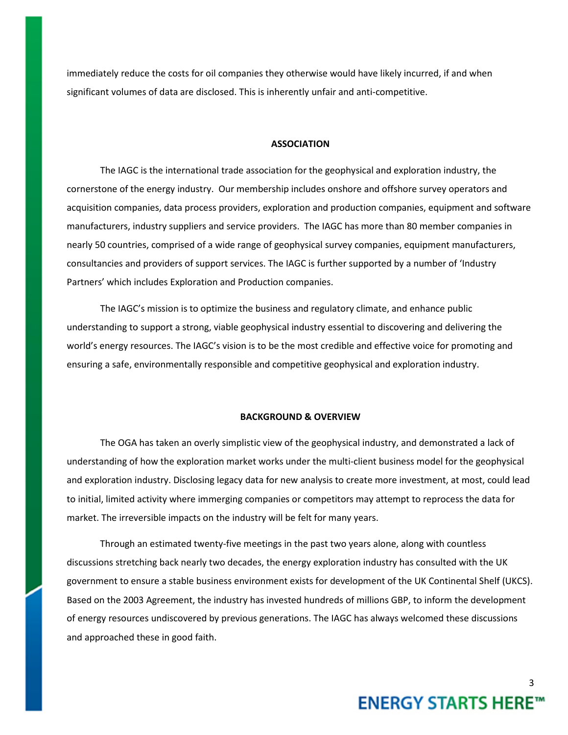immediately reduce the costs for oil companies they otherwise would have likely incurred, if and when significant volumes of data are disclosed. This is inherently unfair and anti-competitive.

#### **ASSOCIATION**

The IAGC is the international trade association for the geophysical and exploration industry, the cornerstone of the energy industry. Our membership includes onshore and offshore survey operators and acquisition companies, data process providers, exploration and production companies, equipment and software manufacturers, industry suppliers and service providers. The IAGC has more than 80 member companies in nearly 50 countries, comprised of a wide range of geophysical survey companies, equipment manufacturers, consultancies and providers of support services. The IAGC is further supported by a number of 'Industry Partners' which includes Exploration and Production companies.

The IAGC's mission is to optimize the business and regulatory climate, and enhance public understanding to support a strong, viable geophysical industry essential to discovering and delivering the world's energy resources. The IAGC's vision is to be the most credible and effective voice for promoting and ensuring a safe, environmentally responsible and competitive geophysical and exploration industry.

#### **BACKGROUND & OVERVIEW**

The OGA has taken an overly simplistic view of the geophysical industry, and demonstrated a lack of understanding of how the exploration market works under the multi-client business model for the geophysical and exploration industry. Disclosing legacy data for new analysis to create more investment, at most, could lead to initial, limited activity where immerging companies or competitors may attempt to reprocess the data for market. The irreversible impacts on the industry will be felt for many years.

Through an estimated twenty-five meetings in the past two years alone, along with countless discussions stretching back nearly two decades, the energy exploration industry has consulted with the UK government to ensure a stable business environment exists for development of the UK Continental Shelf (UKCS). Based on the 2003 Agreement, the industry has invested hundreds of millions GBP, to inform the development of energy resources undiscovered by previous generations. The IAGC has always welcomed these discussions and approached these in good faith.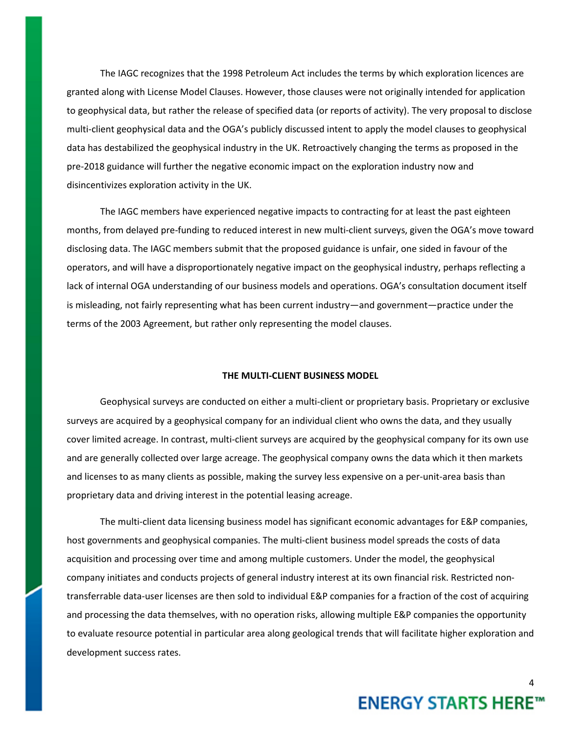The IAGC recognizes that the 1998 Petroleum Act includes the terms by which exploration licences are granted along with License Model Clauses. However, those clauses were not originally intended for application to geophysical data, but rather the release of specified data (or reports of activity). The very proposal to disclose multi-client geophysical data and the OGA's publicly discussed intent to apply the model clauses to geophysical data has destabilized the geophysical industry in the UK. Retroactively changing the terms as proposed in the pre-2018 guidance will further the negative economic impact on the exploration industry now and disincentivizes exploration activity in the UK.

The IAGC members have experienced negative impacts to contracting for at least the past eighteen months, from delayed pre-funding to reduced interest in new multi-client surveys, given the OGA's move toward disclosing data. The IAGC members submit that the proposed guidance is unfair, one sided in favour of the operators, and will have a disproportionately negative impact on the geophysical industry, perhaps reflecting a lack of internal OGA understanding of our business models and operations. OGA's consultation document itself is misleading, not fairly representing what has been current industry—and government—practice under the terms of the 2003 Agreement, but rather only representing the model clauses.

### **THE MULTI-CLIENT BUSINESS MODEL**

Geophysical surveys are conducted on either a multi-client or proprietary basis. Proprietary or exclusive surveys are acquired by a geophysical company for an individual client who owns the data, and they usually cover limited acreage. In contrast, multi-client surveys are acquired by the geophysical company for its own use and are generally collected over large acreage. The geophysical company owns the data which it then markets and licenses to as many clients as possible, making the survey less expensive on a per-unit-area basis than proprietary data and driving interest in the potential leasing acreage.

The multi-client data licensing business model has significant economic advantages for E&P companies, host governments and geophysical companies. The multi-client business model spreads the costs of data acquisition and processing over time and among multiple customers. Under the model, the geophysical company initiates and conducts projects of general industry interest at its own financial risk. Restricted nontransferrable data-user licenses are then sold to individual E&P companies for a fraction of the cost of acquiring and processing the data themselves, with no operation risks, allowing multiple E&P companies the opportunity to evaluate resource potential in particular area along geological trends that will facilitate higher exploration and development success rates.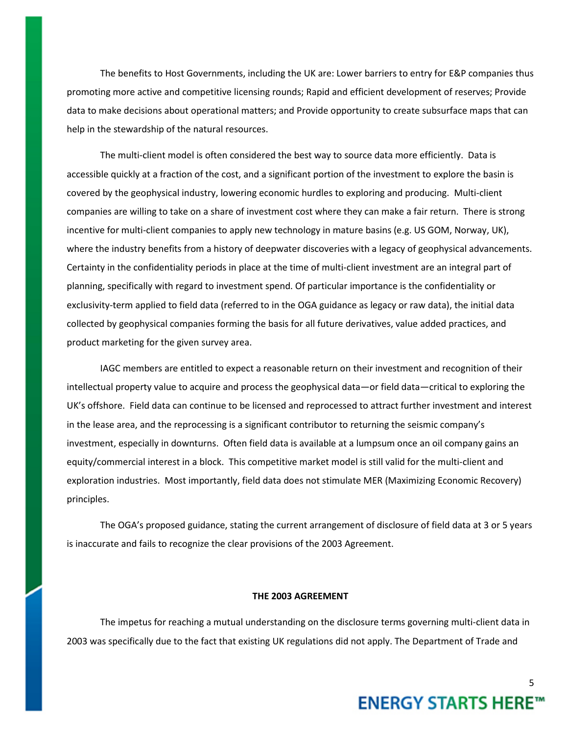The benefits to Host Governments, including the UK are: Lower barriers to entry for E&P companies thus promoting more active and competitive licensing rounds; Rapid and efficient development of reserves; Provide data to make decisions about operational matters; and Provide opportunity to create subsurface maps that can help in the stewardship of the natural resources.

The multi-client model is often considered the best way to source data more efficiently. Data is accessible quickly at a fraction of the cost, and a significant portion of the investment to explore the basin is covered by the geophysical industry, lowering economic hurdles to exploring and producing. Multi-client companies are willing to take on a share of investment cost where they can make a fair return. There is strong incentive for multi-client companies to apply new technology in mature basins (e.g. US GOM, Norway, UK), where the industry benefits from a history of deepwater discoveries with a legacy of geophysical advancements. Certainty in the confidentiality periods in place at the time of multi-client investment are an integral part of planning, specifically with regard to investment spend. Of particular importance is the confidentiality or exclusivity-term applied to field data (referred to in the OGA guidance as legacy or raw data), the initial data collected by geophysical companies forming the basis for all future derivatives, value added practices, and product marketing for the given survey area.

IAGC members are entitled to expect a reasonable return on their investment and recognition of their intellectual property value to acquire and process the geophysical data—or field data—critical to exploring the UK's offshore. Field data can continue to be licensed and reprocessed to attract further investment and interest in the lease area, and the reprocessing is a significant contributor to returning the seismic company's investment, especially in downturns. Often field data is available at a lumpsum once an oil company gains an equity/commercial interest in a block. This competitive market model is still valid for the multi-client and exploration industries. Most importantly, field data does not stimulate MER (Maximizing Economic Recovery) principles.

The OGA's proposed guidance, stating the current arrangement of disclosure of field data at 3 or 5 years is inaccurate and fails to recognize the clear provisions of the 2003 Agreement.

## **THE 2003 AGREEMENT**

The impetus for reaching a mutual understanding on the disclosure terms governing multi-client data in 2003 was specifically due to the fact that existing UK regulations did not apply. The Department of Trade and

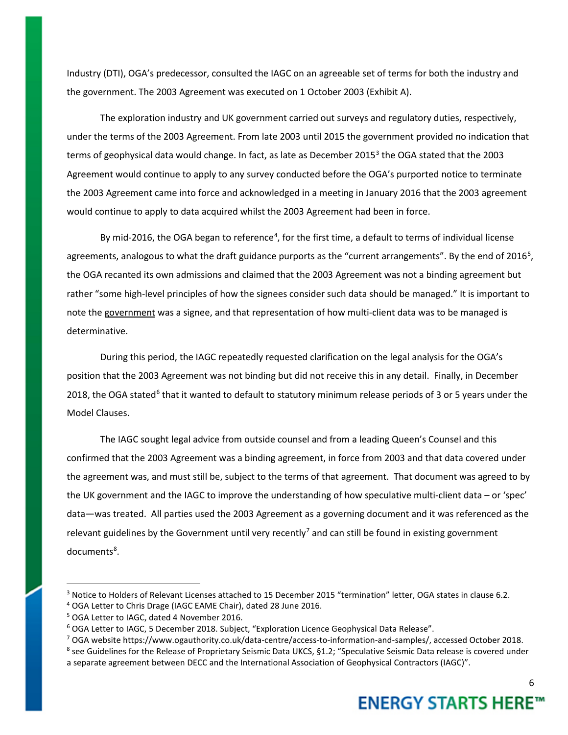Industry (DTI), OGA's predecessor, consulted the IAGC on an agreeable set of terms for both the industry and the government. The 2003 Agreement was executed on 1 October 2003 (Exhibit A).

The exploration industry and UK government carried out surveys and regulatory duties, respectively, under the terms of the 2003 Agreement. From late 2003 until 2015 the government provided no indication that terms of geophysical data would change. In fact, as late as December 2015<sup>[3](#page-5-0)</sup> the OGA stated that the 2003 Agreement would continue to apply to any survey conducted before the OGA's purported notice to terminate the 2003 Agreement came into force and acknowledged in a meeting in January 2016 that the 2003 agreement would continue to apply to data acquired whilst the 2003 Agreement had been in force.

By mid-2016, the OGA began to reference<sup>[4](#page-5-1)</sup>, for the first time, a default to terms of individual license agreements, analogous to what the draft guidance purports as the "current arrangements". By the end of 2016<sup>[5](#page-5-2)</sup>, the OGA recanted its own admissions and claimed that the 2003 Agreement was not a binding agreement but rather "some high-level principles of how the signees consider such data should be managed." It is important to note the government was a signee, and that representation of how multi-client data was to be managed is determinative.

During this period, the IAGC repeatedly requested clarification on the legal analysis for the OGA's position that the 2003 Agreement was not binding but did not receive this in any detail. Finally, in December 2018, the OGA stated<sup>[6](#page-5-3)</sup> that it wanted to default to statutory minimum release periods of 3 or 5 years under the Model Clauses.

The IAGC sought legal advice from outside counsel and from a leading Queen's Counsel and this confirmed that the 2003 Agreement was a binding agreement, in force from 2003 and that data covered under the agreement was, and must still be, subject to the terms of that agreement. That document was agreed to by the UK government and the IAGC to improve the understanding of how speculative multi-client data – or 'spec' data—was treated. All parties used the 2003 Agreement as a governing document and it was referenced as the relevant guidelines by the Government until very recently<sup>[7](#page-5-4)</sup> and can still be found in existing government documents<sup>[8](#page-5-5)</sup>.

6

<span id="page-5-0"></span><sup>&</sup>lt;sup>3</sup> Notice to Holders of Relevant Licenses attached to 15 December 2015 "termination" letter, OGA states in clause 6.2.

<span id="page-5-2"></span><span id="page-5-1"></span><sup>&</sup>lt;sup>4</sup> OGA Letter to Chris Drage (IAGC EAME Chair), dated 28 June 2016.<br><sup>5</sup> OGA Letter to IAGC, dated 4 November 2016.

<span id="page-5-3"></span><sup>&</sup>lt;sup>6</sup> OGA Letter to IAGC, 5 December 2018. Subject, "Exploration Licence Geophysical Data Release".

<span id="page-5-5"></span><span id="page-5-4"></span><sup>&</sup>lt;sup>7</sup> OGA website https://www.ogauthority.co.uk/data-centre/access-to-information-and-samples/, accessed October 2018.<br><sup>8</sup> see Guidelines for the Release of Proprietary Seismic Data UKCS, §1.2; "Speculative Seismic Data rele a separate agreement between DECC and the International Association of Geophysical Contractors (IAGC)".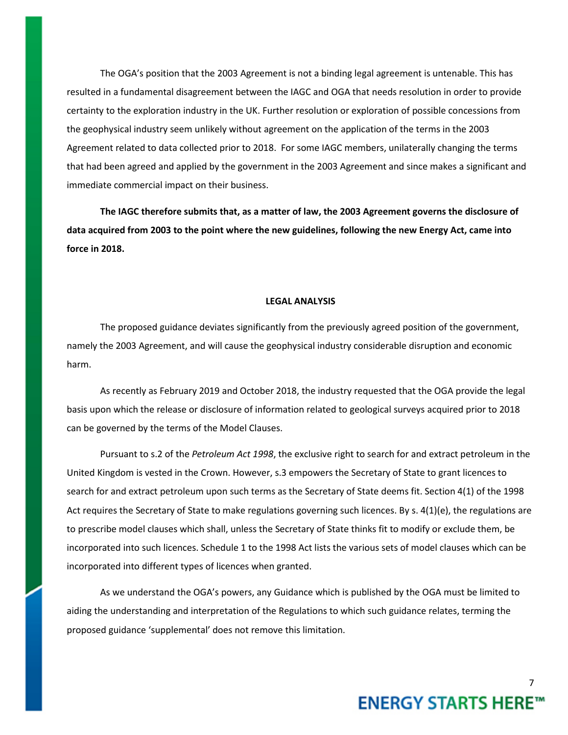The OGA's position that the 2003 Agreement is not a binding legal agreement is untenable. This has resulted in a fundamental disagreement between the IAGC and OGA that needs resolution in order to provide certainty to the exploration industry in the UK. Further resolution or exploration of possible concessions from the geophysical industry seem unlikely without agreement on the application of the terms in the 2003 Agreement related to data collected prior to 2018. For some IAGC members, unilaterally changing the terms that had been agreed and applied by the government in the 2003 Agreement and since makes a significant and immediate commercial impact on their business.

**The IAGC therefore submits that, as a matter of law, the 2003 Agreement governs the disclosure of data acquired from 2003 to the point where the new guidelines, following the new Energy Act, came into force in 2018.**

## **LEGAL ANALYSIS**

The proposed guidance deviates significantly from the previously agreed position of the government, namely the 2003 Agreement, and will cause the geophysical industry considerable disruption and economic harm.

As recently as February 2019 and October 2018, the industry requested that the OGA provide the legal basis upon which the release or disclosure of information related to geological surveys acquired prior to 2018 can be governed by the terms of the Model Clauses.

Pursuant to s.2 of the *Petroleum Act 1998*, the exclusive right to search for and extract petroleum in the United Kingdom is vested in the Crown. However, s.3 empowers the Secretary of State to grant licences to search for and extract petroleum upon such terms as the Secretary of State deems fit. Section 4(1) of the 1998 Act requires the Secretary of State to make regulations governing such licences. By s. 4(1)(e), the regulations are to prescribe model clauses which shall, unless the Secretary of State thinks fit to modify or exclude them, be incorporated into such licences. Schedule 1 to the 1998 Act lists the various sets of model clauses which can be incorporated into different types of licences when granted.

As we understand the OGA's powers, any Guidance which is published by the OGA must be limited to aiding the understanding and interpretation of the Regulations to which such guidance relates, terming the proposed guidance 'supplemental' does not remove this limitation.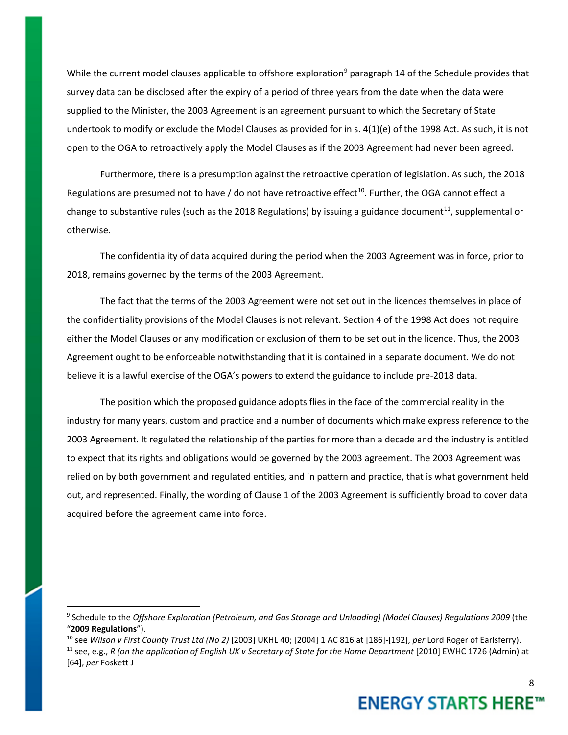While the current model clauses applicable to offshore exploration<sup>[9](#page-7-0)</sup> paragraph 14 of the Schedule provides that survey data can be disclosed after the expiry of a period of three years from the date when the data were supplied to the Minister, the 2003 Agreement is an agreement pursuant to which the Secretary of State undertook to modify or exclude the Model Clauses as provided for in s. 4(1)(e) of the 1998 Act. As such, it is not open to the OGA to retroactively apply the Model Clauses as if the 2003 Agreement had never been agreed.

Furthermore, there is a presumption against the retroactive operation of legislation. As such, the 2018 Regulations are presumed not to have / do not have retroactive effect<sup>[10](#page-7-1)</sup>. Further, the OGA cannot effect a change to substantive rules (such as the 2018 Regulations) by issuing a guidance document<sup>11</sup>, supplemental or otherwise.

The confidentiality of data acquired during the period when the 2003 Agreement was in force, prior to 2018, remains governed by the terms of the 2003 Agreement.

The fact that the terms of the 2003 Agreement were not set out in the licences themselves in place of the confidentiality provisions of the Model Clauses is not relevant. Section 4 of the 1998 Act does not require either the Model Clauses or any modification or exclusion of them to be set out in the licence. Thus, the 2003 Agreement ought to be enforceable notwithstanding that it is contained in a separate document. We do not believe it is a lawful exercise of the OGA's powers to extend the guidance to include pre-2018 data.

The position which the proposed guidance adopts flies in the face of the commercial reality in the industry for many years, custom and practice and a number of documents which make express reference to the 2003 Agreement. It regulated the relationship of the parties for more than a decade and the industry is entitled to expect that its rights and obligations would be governed by the 2003 agreement. The 2003 Agreement was relied on by both government and regulated entities, and in pattern and practice, that is what government held out, and represented. Finally, the wording of Clause 1 of the 2003 Agreement is sufficiently broad to cover data acquired before the agreement came into force.

<span id="page-7-0"></span> <sup>9</sup> Schedule to the *Offshore Exploration (Petroleum, and Gas Storage and Unloading) (Model Clauses) Regulations 2009* (the "**2009 Regulations**").

<span id="page-7-2"></span><span id="page-7-1"></span><sup>10</sup> see *Wilson v First County Trust Ltd (No 2)* [2003] UKHL 40; [2004] 1 AC 816 at [186]-[192], *per* Lord Roger of Earlsferry). <sup>11</sup> see, e.g., *R* (on the application of English UK v Secretary of State for the Home Department [2010] EWHC 1726 (Admin) at [64], *per* Foskett J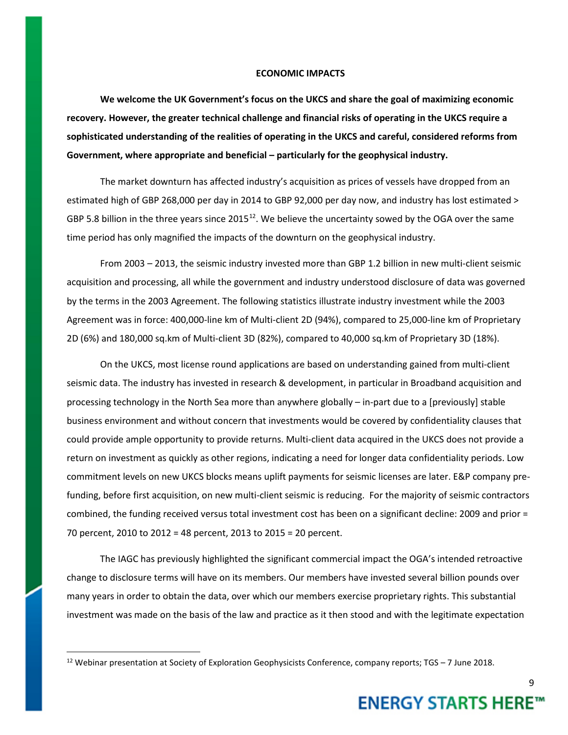#### **ECONOMIC IMPACTS**

**We welcome the UK Government's focus on the UKCS and share the goal of maximizing economic recovery. However, the greater technical challenge and financial risks of operating in the UKCS require a sophisticated understanding of the realities of operating in the UKCS and careful, considered reforms from Government, where appropriate and beneficial – particularly for the geophysical industry.** 

The market downturn has affected industry's acquisition as prices of vessels have dropped from an estimated high of GBP 268,000 per day in 2014 to GBP 92,000 per day now, and industry has lost estimated > GBP 5.8 billion in the three years since 2015 $^{12}$ . We believe the uncertainty sowed by the OGA over the same time period has only magnified the impacts of the downturn on the geophysical industry.

From 2003 – 2013, the seismic industry invested more than GBP 1.2 billion in new multi-client seismic acquisition and processing, all while the government and industry understood disclosure of data was governed by the terms in the 2003 Agreement. The following statistics illustrate industry investment while the 2003 Agreement was in force: 400,000-line km of Multi-client 2D (94%), compared to 25,000-line km of Proprietary 2D (6%) and 180,000 sq.km of Multi-client 3D (82%), compared to 40,000 sq.km of Proprietary 3D (18%).

On the UKCS, most license round applications are based on understanding gained from multi-client seismic data. The industry has invested in research & development, in particular in Broadband acquisition and processing technology in the North Sea more than anywhere globally – in-part due to a [previously] stable business environment and without concern that investments would be covered by confidentiality clauses that could provide ample opportunity to provide returns. Multi-client data acquired in the UKCS does not provide a return on investment as quickly as other regions, indicating a need for longer data confidentiality periods. Low commitment levels on new UKCS blocks means uplift payments for seismic licenses are later. E&P company prefunding, before first acquisition, on new multi-client seismic is reducing. For the majority of seismic contractors combined, the funding received versus total investment cost has been on a significant decline: 2009 and prior = 70 percent, 2010 to 2012 = 48 percent, 2013 to 2015 = 20 percent.

The IAGC has previously highlighted the significant commercial impact the OGA's intended retroactive change to disclosure terms will have on its members. Our members have invested several billion pounds over many years in order to obtain the data, over which our members exercise proprietary rights. This substantial investment was made on the basis of the law and practice as it then stood and with the legitimate expectation

9

<span id="page-8-0"></span><sup>&</sup>lt;sup>12</sup> Webinar presentation at Society of Exploration Geophysicists Conference, company reports; TGS – 7 June 2018.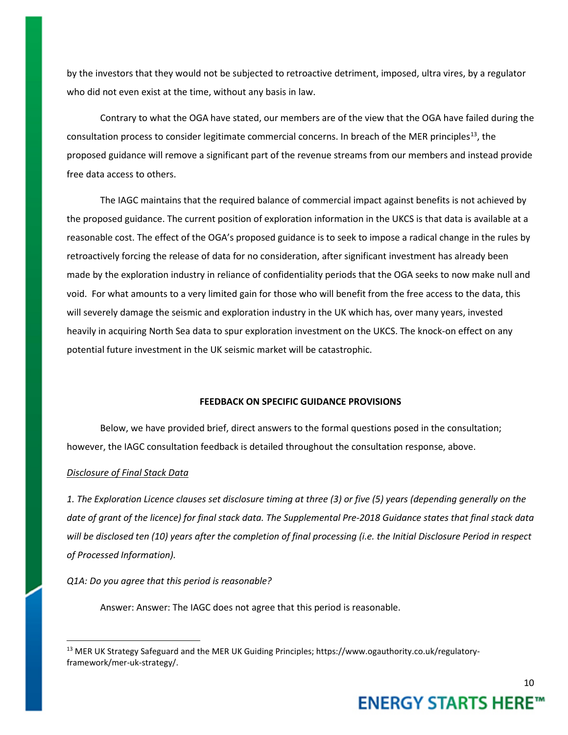by the investors that they would not be subjected to retroactive detriment, imposed, ultra vires, by a regulator who did not even exist at the time, without any basis in law.

Contrary to what the OGA have stated, our members are of the view that the OGA have failed during the consultation process to consider legitimate commercial concerns. In breach of the MER principles<sup>13</sup>, the proposed guidance will remove a significant part of the revenue streams from our members and instead provide free data access to others.

The IAGC maintains that the required balance of commercial impact against benefits is not achieved by the proposed guidance. The current position of exploration information in the UKCS is that data is available at a reasonable cost. The effect of the OGA's proposed guidance is to seek to impose a radical change in the rules by retroactively forcing the release of data for no consideration, after significant investment has already been made by the exploration industry in reliance of confidentiality periods that the OGA seeks to now make null and void. For what amounts to a very limited gain for those who will benefit from the free access to the data, this will severely damage the seismic and exploration industry in the UK which has, over many years, invested heavily in acquiring North Sea data to spur exploration investment on the UKCS. The knock-on effect on any potential future investment in the UK seismic market will be catastrophic.

#### **FEEDBACK ON SPECIFIC GUIDANCE PROVISIONS**

Below, we have provided brief, direct answers to the formal questions posed in the consultation; however, the IAGC consultation feedback is detailed throughout the consultation response, above.

#### *Disclosure of Final Stack Data*

*1. The Exploration Licence clauses set disclosure timing at three (3) or five (5) years (depending generally on the date of grant of the licence) for final stack data. The Supplemental Pre-2018 Guidance states that final stack data will be disclosed ten (10) years after the completion of final processing (i.e. the Initial Disclosure Period in respect of Processed Information).*

*Q1A: Do you agree that this period is reasonable?* 

Answer: Answer: The IAGC does not agree that this period is reasonable.

<span id="page-9-0"></span><sup>&</sup>lt;sup>13</sup> MER UK Strategy Safeguard and the MER UK Guiding Principles; https://www.ogauthority.co.uk/regulatoryframework/mer-uk-strategy/.

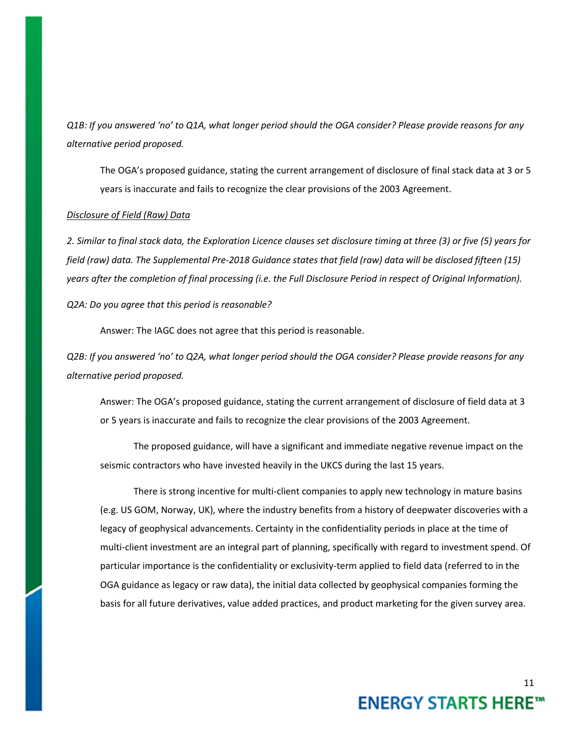*Q1B: If you answered 'no' to Q1A, what longer period should the OGA consider? Please provide reasons for any alternative period proposed.*

The OGA's proposed guidance, stating the current arrangement of disclosure of final stack data at 3 or 5 years is inaccurate and fails to recognize the clear provisions of the 2003 Agreement.

#### *Disclosure of Field (Raw) Data*

*2. Similar to final stack data, the Exploration Licence clauses set disclosure timing at three (3) or five (5) years for field (raw) data. The Supplemental Pre-2018 Guidance states that field (raw) data will be disclosed fifteen (15) years after the completion of final processing (i.e. the Full Disclosure Period in respect of Original Information).*

*Q2A: Do you agree that this period is reasonable?* 

Answer: The IAGC does not agree that this period is reasonable.

*Q2B: If you answered 'no' to Q2A, what longer period should the OGA consider? Please provide reasons for any alternative period proposed.* 

Answer: The OGA's proposed guidance, stating the current arrangement of disclosure of field data at 3 or 5 years is inaccurate and fails to recognize the clear provisions of the 2003 Agreement.

The proposed guidance, will have a significant and immediate negative revenue impact on the seismic contractors who have invested heavily in the UKCS during the last 15 years.

There is strong incentive for multi-client companies to apply new technology in mature basins (e.g. US GOM, Norway, UK), where the industry benefits from a history of deepwater discoveries with a legacy of geophysical advancements. Certainty in the confidentiality periods in place at the time of multi-client investment are an integral part of planning, specifically with regard to investment spend. Of particular importance is the confidentiality or exclusivity-term applied to field data (referred to in the OGA guidance as legacy or raw data), the initial data collected by geophysical companies forming the basis for all future derivatives, value added practices, and product marketing for the given survey area.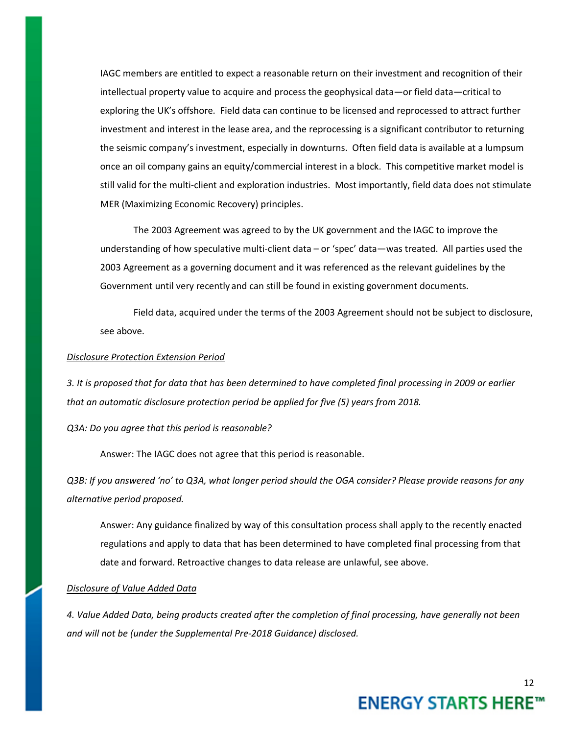IAGC members are entitled to expect a reasonable return on their investment and recognition of their intellectual property value to acquire and process the geophysical data—or field data—critical to exploring the UK's offshore. Field data can continue to be licensed and reprocessed to attract further investment and interest in the lease area, and the reprocessing is a significant contributor to returning the seismic company's investment, especially in downturns. Often field data is available at a lumpsum once an oil company gains an equity/commercial interest in a block. This competitive market model is still valid for the multi-client and exploration industries. Most importantly, field data does not stimulate MER (Maximizing Economic Recovery) principles.

The 2003 Agreement was agreed to by the UK government and the IAGC to improve the understanding of how speculative multi-client data – or 'spec' data—was treated. All parties used the 2003 Agreement as a governing document and it was referenced as the relevant guidelines by the Government until very recently and can still be found in existing government documents.

Field data, acquired under the terms of the 2003 Agreement should not be subject to disclosure, see above.

## *Disclosure Protection Extension Period*

*3. It is proposed that for data that has been determined to have completed final processing in 2009 or earlier that an automatic disclosure protection period be applied for five (5) years from 2018.*

*Q3A: Do you agree that this period is reasonable?*

Answer: The IAGC does not agree that this period is reasonable.

*Q3B: If you answered 'no' to Q3A, what longer period should the OGA consider? Please provide reasons for any alternative period proposed.*

Answer: Any guidance finalized by way of this consultation process shall apply to the recently enacted regulations and apply to data that has been determined to have completed final processing from that date and forward. Retroactive changes to data release are unlawful, see above.

## *Disclosure of Value Added Data*

*4. Value Added Data, being products created after the completion of final processing, have generally not been and will not be (under the Supplemental Pre-2018 Guidance) disclosed.*

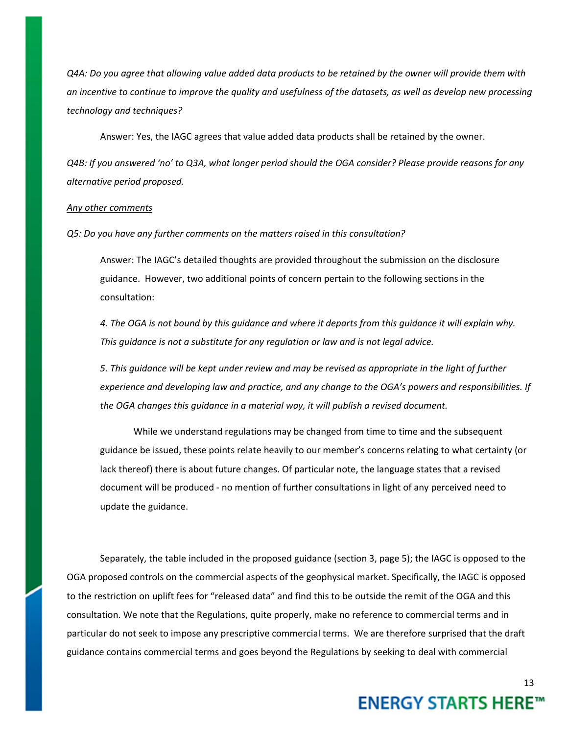*Q4A: Do you agree that allowing value added data products to be retained by the owner will provide them with an incentive to continue to improve the quality and usefulness of the datasets, as well as develop new processing technology and techniques?*

Answer: Yes, the IAGC agrees that value added data products shall be retained by the owner.

*Q4B: If you answered 'no' to Q3A, what longer period should the OGA consider? Please provide reasons for any alternative period proposed.*

#### *Any other comments*

*Q5: Do you have any further comments on the matters raised in this consultation?*

Answer: The IAGC's detailed thoughts are provided throughout the submission on the disclosure guidance. However, two additional points of concern pertain to the following sections in the consultation:

*4. The OGA is not bound by this guidance and where it departs from this guidance it will explain why. This guidance is not a substitute for any regulation or law and is not legal advice.*

*5. This guidance will be kept under review and may be revised as appropriate in the light of further experience and developing law and practice, and any change to the OGA's powers and responsibilities. If the OGA changes this guidance in a material way, it will publish a revised document.*

While we understand regulations may be changed from time to time and the subsequent guidance be issued, these points relate heavily to our member's concerns relating to what certainty (or lack thereof) there is about future changes. Of particular note, the language states that a revised document will be produced - no mention of further consultations in light of any perceived need to update the guidance.

Separately, the table included in the proposed guidance (section 3, page 5); the IAGC is opposed to the OGA proposed controls on the commercial aspects of the geophysical market. Specifically, the IAGC is opposed to the restriction on uplift fees for "released data" and find this to be outside the remit of the OGA and this consultation. We note that the Regulations, quite properly, make no reference to commercial terms and in particular do not seek to impose any prescriptive commercial terms. We are therefore surprised that the draft guidance contains commercial terms and goes beyond the Regulations by seeking to deal with commercial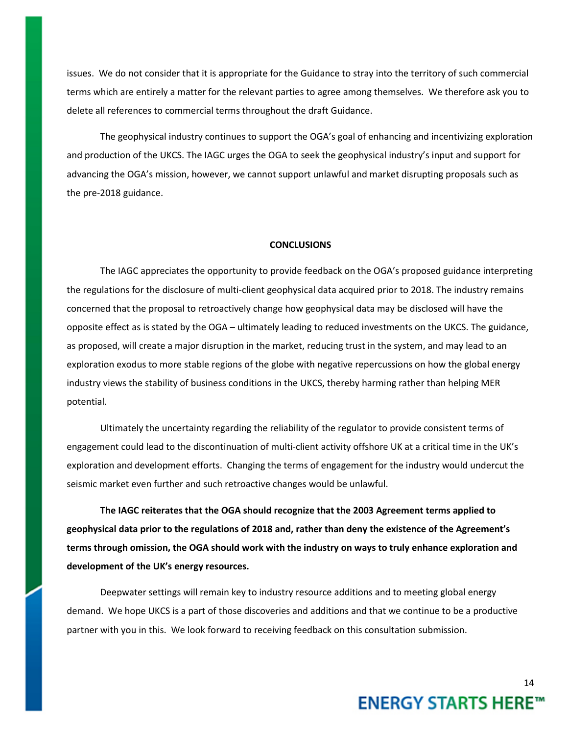issues. We do not consider that it is appropriate for the Guidance to stray into the territory of such commercial terms which are entirely a matter for the relevant parties to agree among themselves. We therefore ask you to delete all references to commercial terms throughout the draft Guidance.

The geophysical industry continues to support the OGA's goal of enhancing and incentivizing exploration and production of the UKCS. The IAGC urges the OGA to seek the geophysical industry's input and support for advancing the OGA's mission, however, we cannot support unlawful and market disrupting proposals such as the pre-2018 guidance.

## **CONCLUSIONS**

The IAGC appreciates the opportunity to provide feedback on the OGA's proposed guidance interpreting the regulations for the disclosure of multi-client geophysical data acquired prior to 2018. The industry remains concerned that the proposal to retroactively change how geophysical data may be disclosed will have the opposite effect as is stated by the OGA – ultimately leading to reduced investments on the UKCS. The guidance, as proposed, will create a major disruption in the market, reducing trust in the system, and may lead to an exploration exodus to more stable regions of the globe with negative repercussions on how the global energy industry views the stability of business conditions in the UKCS, thereby harming rather than helping MER potential.

Ultimately the uncertainty regarding the reliability of the regulator to provide consistent terms of engagement could lead to the discontinuation of multi-client activity offshore UK at a critical time in the UK's exploration and development efforts. Changing the terms of engagement for the industry would undercut the seismic market even further and such retroactive changes would be unlawful.

**The IAGC reiterates that the OGA should recognize that the 2003 Agreement terms applied to geophysical data prior to the regulations of 2018 and, rather than deny the existence of the Agreement's terms through omission, the OGA should work with the industry on ways to truly enhance exploration and development of the UK's energy resources.** 

Deepwater settings will remain key to industry resource additions and to meeting global energy demand. We hope UKCS is a part of those discoveries and additions and that we continue to be a productive partner with you in this. We look forward to receiving feedback on this consultation submission.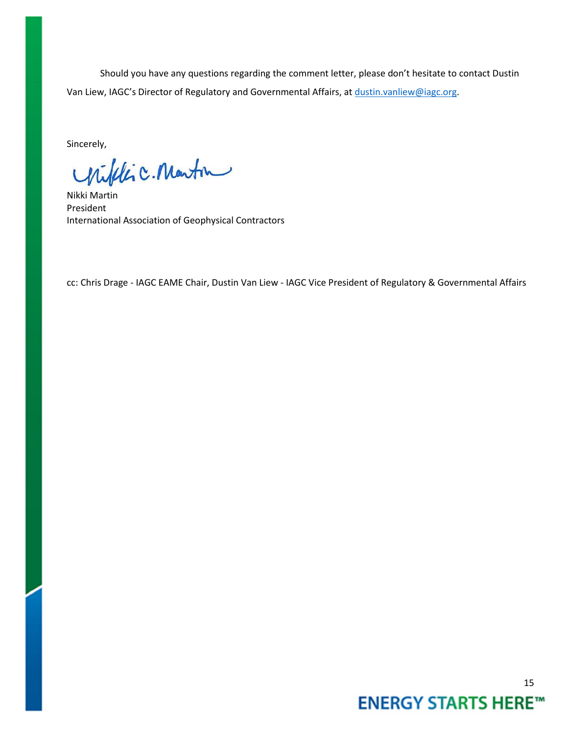Should you have any questions regarding the comment letter, please don't hesitate to contact Dustin Van Liew, IAGC's Director of Regulatory and Governmental Affairs, at [dustin.vanliew@iagc.org.](mailto:dustin.vanliew@iagc.org)

Sincerely,

Urifilic. Martin

Nikki Martin President International Association of Geophysical Contractors

cc: Chris Drage - IAGC EAME Chair, Dustin Van Liew - IAGC Vice President of Regulatory & Governmental Affairs

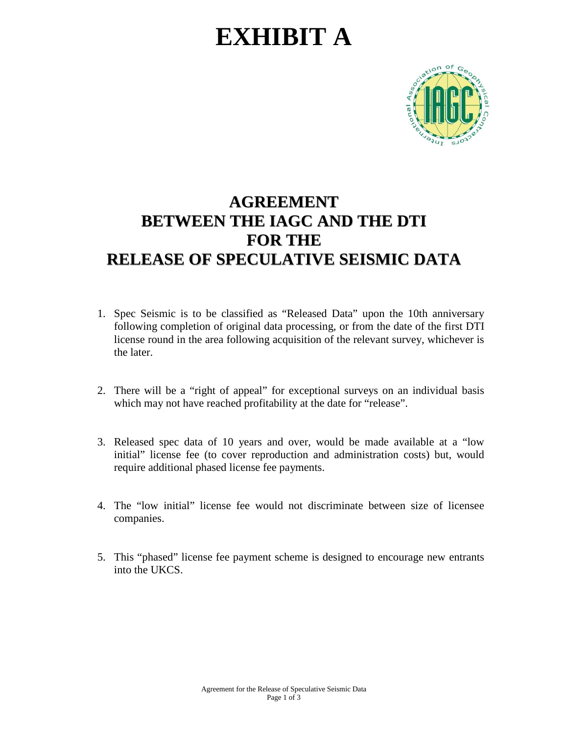# **EXHIBIT A**



# **AGREEMENT BETWEEN THE IAGC AND THE DTI FOR THE RELEASE OF SPECULATIVE SEISMIC DATA**

- 1. Spec Seismic is to be classified as "Released Data" upon the 10th anniversary following completion of original data processing, or from the date of the first DTI license round in the area following acquisition of the relevant survey, whichever is the later.
- 2. There will be a "right of appeal" for exceptional surveys on an individual basis which may not have reached profitability at the date for "release".
- 3. Released spec data of 10 years and over, would be made available at a "low initial" license fee (to cover reproduction and administration costs) but, would require additional phased license fee payments.
- 4. The "low initial" license fee would not discriminate between size of licensee companies.
- 5. This "phased" license fee payment scheme is designed to encourage new entrants into the UKCS.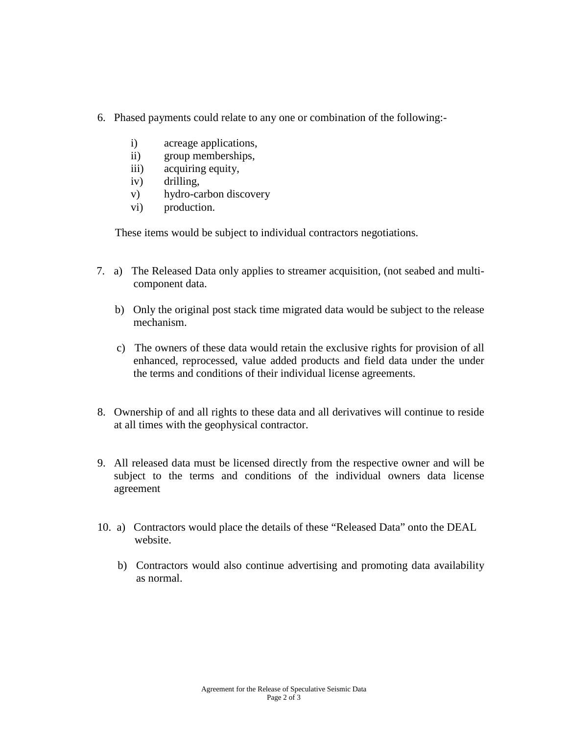- 6. Phased payments could relate to any one or combination of the following:
	- i) acreage applications,
	- ii) group memberships,
	- iii) acquiring equity,
	- iv) drilling,
	- v) hydro-carbon discovery
	- vi) production.

These items would be subject to individual contractors negotiations.

- 7. a) The Released Data only applies to streamer acquisition, (not seabed and multicomponent data.
	- b) Only the original post stack time migrated data would be subject to the release mechanism.
	- c) The owners of these data would retain the exclusive rights for provision of all enhanced, reprocessed, value added products and field data under the under the terms and conditions of their individual license agreements.
- 8. Ownership of and all rights to these data and all derivatives will continue to reside at all times with the geophysical contractor.
- 9. All released data must be licensed directly from the respective owner and will be subject to the terms and conditions of the individual owners data license agreement
- 10. a) Contractors would place the details of these "Released Data" onto the DEAL website.
	- b) Contractors would also continue advertising and promoting data availability as normal.